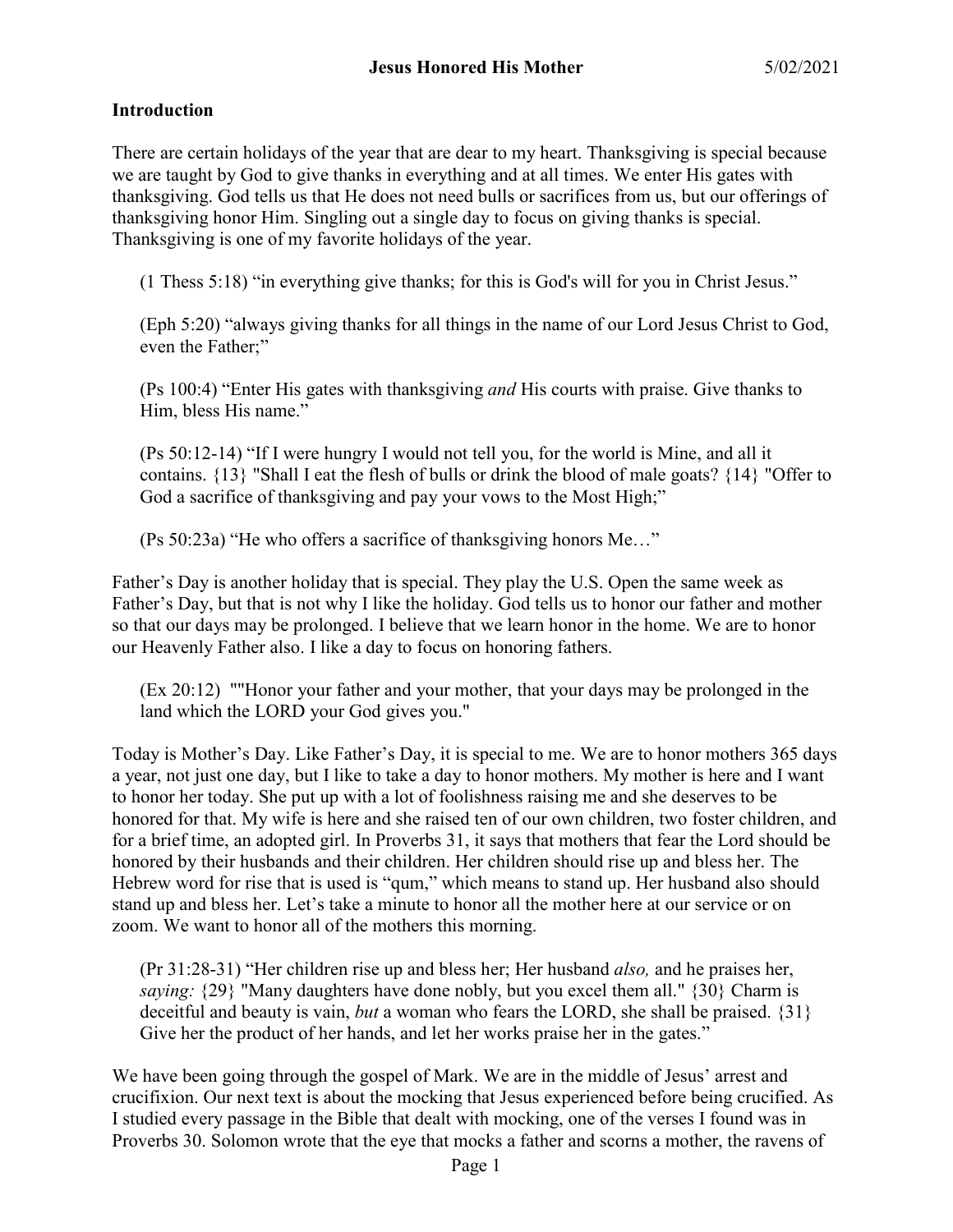### **Introduction**

There are certain holidays of the year that are dear to my heart. Thanksgiving is special because we are taught by God to give thanks in everything and at all times. We enter His gates with thanksgiving. God tells us that He does not need bulls or sacrifices from us, but our offerings of thanksgiving honor Him. Singling out a single day to focus on giving thanks is special. Thanksgiving is one of my favorite holidays of the year.

(1 Thess 5:18) "in everything give thanks; for this is God's will for you in Christ Jesus."

(Eph 5:20) "always giving thanks for all things in the name of our Lord Jesus Christ to God, even the Father;"

(Ps 100:4) "Enter His gates with thanksgiving *and* His courts with praise. Give thanks to Him, bless His name."

(Ps 50:12-14) "If I were hungry I would not tell you, for the world is Mine, and all it contains. {13} "Shall I eat the flesh of bulls or drink the blood of male goats? {14} "Offer to God a sacrifice of thanksgiving and pay your vows to the Most High;"

(Ps 50:23a) "He who offers a sacrifice of thanksgiving honors Me…"

Father's Day is another holiday that is special. They play the U.S. Open the same week as Father's Day, but that is not why I like the holiday. God tells us to honor our father and mother so that our days may be prolonged. I believe that we learn honor in the home. We are to honor our Heavenly Father also. I like a day to focus on honoring fathers.

(Ex 20:12) ""Honor your father and your mother, that your days may be prolonged in the land which the LORD your God gives you."

Today is Mother's Day. Like Father's Day, it is special to me. We are to honor mothers 365 days a year, not just one day, but I like to take a day to honor mothers. My mother is here and I want to honor her today. She put up with a lot of foolishness raising me and she deserves to be honored for that. My wife is here and she raised ten of our own children, two foster children, and for a brief time, an adopted girl. In Proverbs 31, it says that mothers that fear the Lord should be honored by their husbands and their children. Her children should rise up and bless her. The Hebrew word for rise that is used is "qum," which means to stand up. Her husband also should stand up and bless her. Let's take a minute to honor all the mother here at our service or on zoom. We want to honor all of the mothers this morning.

(Pr 31:28-31) "Her children rise up and bless her; Her husband *also,* and he praises her, *saying:* {29} "Many daughters have done nobly, but you excel them all." {30} Charm is deceitful and beauty is vain, *but* a woman who fears the LORD, she shall be praised. {31} Give her the product of her hands, and let her works praise her in the gates."

We have been going through the gospel of Mark. We are in the middle of Jesus' arrest and crucifixion. Our next text is about the mocking that Jesus experienced before being crucified. As I studied every passage in the Bible that dealt with mocking, one of the verses I found was in Proverbs 30. Solomon wrote that the eye that mocks a father and scorns a mother, the ravens of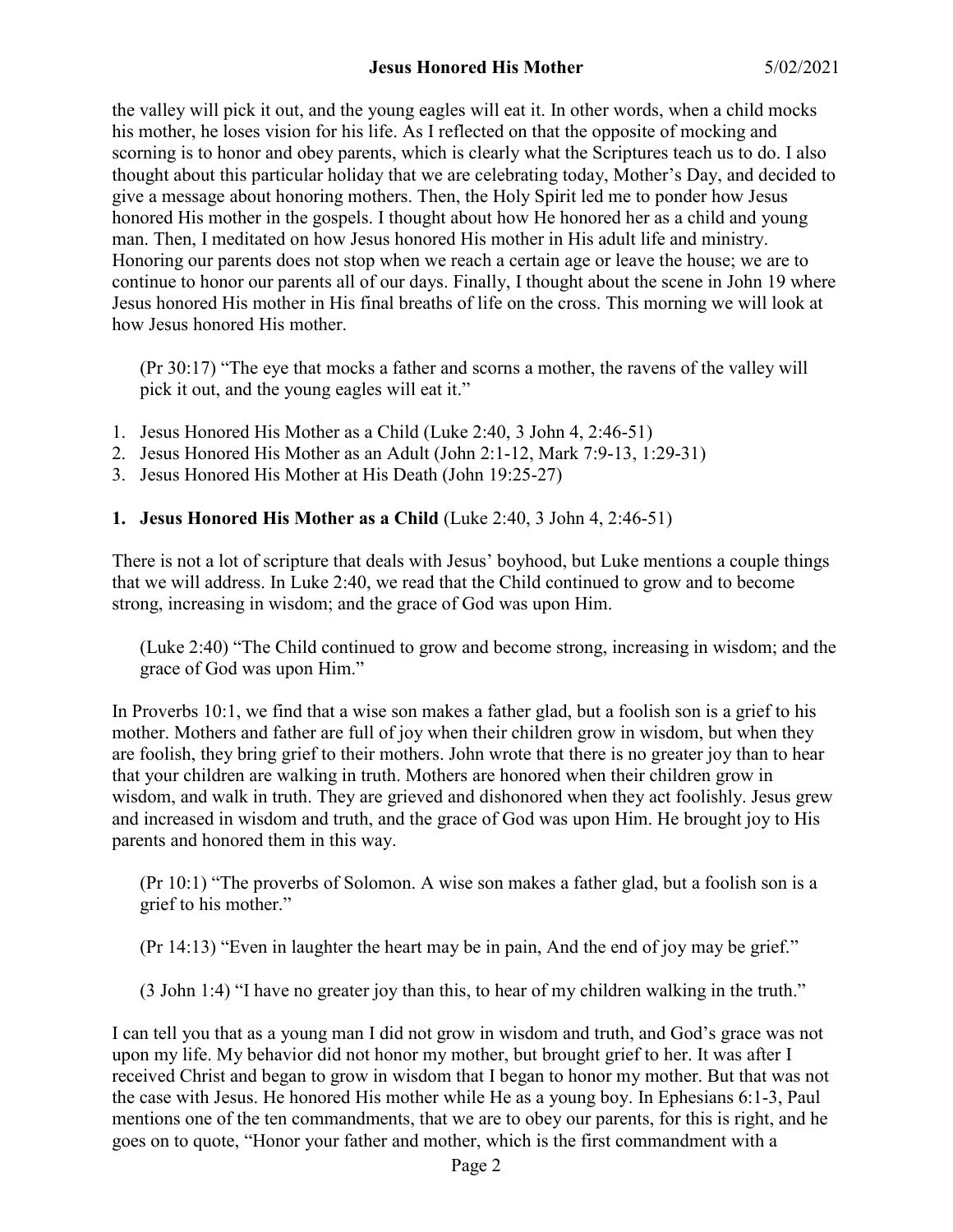the valley will pick it out, and the young eagles will eat it. In other words, when a child mocks his mother, he loses vision for his life. As I reflected on that the opposite of mocking and scorning is to honor and obey parents, which is clearly what the Scriptures teach us to do. I also thought about this particular holiday that we are celebrating today, Mother's Day, and decided to give a message about honoring mothers. Then, the Holy Spirit led me to ponder how Jesus honored His mother in the gospels. I thought about how He honored her as a child and young man. Then, I meditated on how Jesus honored His mother in His adult life and ministry. Honoring our parents does not stop when we reach a certain age or leave the house; we are to continue to honor our parents all of our days. Finally, I thought about the scene in John 19 where Jesus honored His mother in His final breaths of life on the cross. This morning we will look at how Jesus honored His mother.

(Pr 30:17) "The eye that mocks a father and scorns a mother, the ravens of the valley will pick it out, and the young eagles will eat it."

- 1. Jesus Honored His Mother as a Child (Luke 2:40, 3 John 4, 2:46-51)
- 2. Jesus Honored His Mother as an Adult (John 2:1-12, Mark 7:9-13, 1:29-31)
- 3. Jesus Honored His Mother at His Death (John 19:25-27)

# **1. Jesus Honored His Mother as a Child** (Luke 2:40, 3 John 4, 2:46-51)

There is not a lot of scripture that deals with Jesus' boyhood, but Luke mentions a couple things that we will address. In Luke 2:40, we read that the Child continued to grow and to become strong, increasing in wisdom; and the grace of God was upon Him.

(Luke 2:40) "The Child continued to grow and become strong, increasing in wisdom; and the grace of God was upon Him."

In Proverbs 10:1, we find that a wise son makes a father glad, but a foolish son is a grief to his mother. Mothers and father are full of joy when their children grow in wisdom, but when they are foolish, they bring grief to their mothers. John wrote that there is no greater joy than to hear that your children are walking in truth. Mothers are honored when their children grow in wisdom, and walk in truth. They are grieved and dishonored when they act foolishly. Jesus grew and increased in wisdom and truth, and the grace of God was upon Him. He brought joy to His parents and honored them in this way.

(Pr 10:1) "The proverbs of Solomon. A wise son makes a father glad, but a foolish son is a grief to his mother."

(Pr 14:13) "Even in laughter the heart may be in pain, And the end of joy may be grief."

(3 John 1:4) "I have no greater joy than this, to hear of my children walking in the truth."

I can tell you that as a young man I did not grow in wisdom and truth, and God's grace was not upon my life. My behavior did not honor my mother, but brought grief to her. It was after I received Christ and began to grow in wisdom that I began to honor my mother. But that was not the case with Jesus. He honored His mother while He as a young boy. In Ephesians 6:1-3, Paul mentions one of the ten commandments, that we are to obey our parents, for this is right, and he goes on to quote, "Honor your father and mother, which is the first commandment with a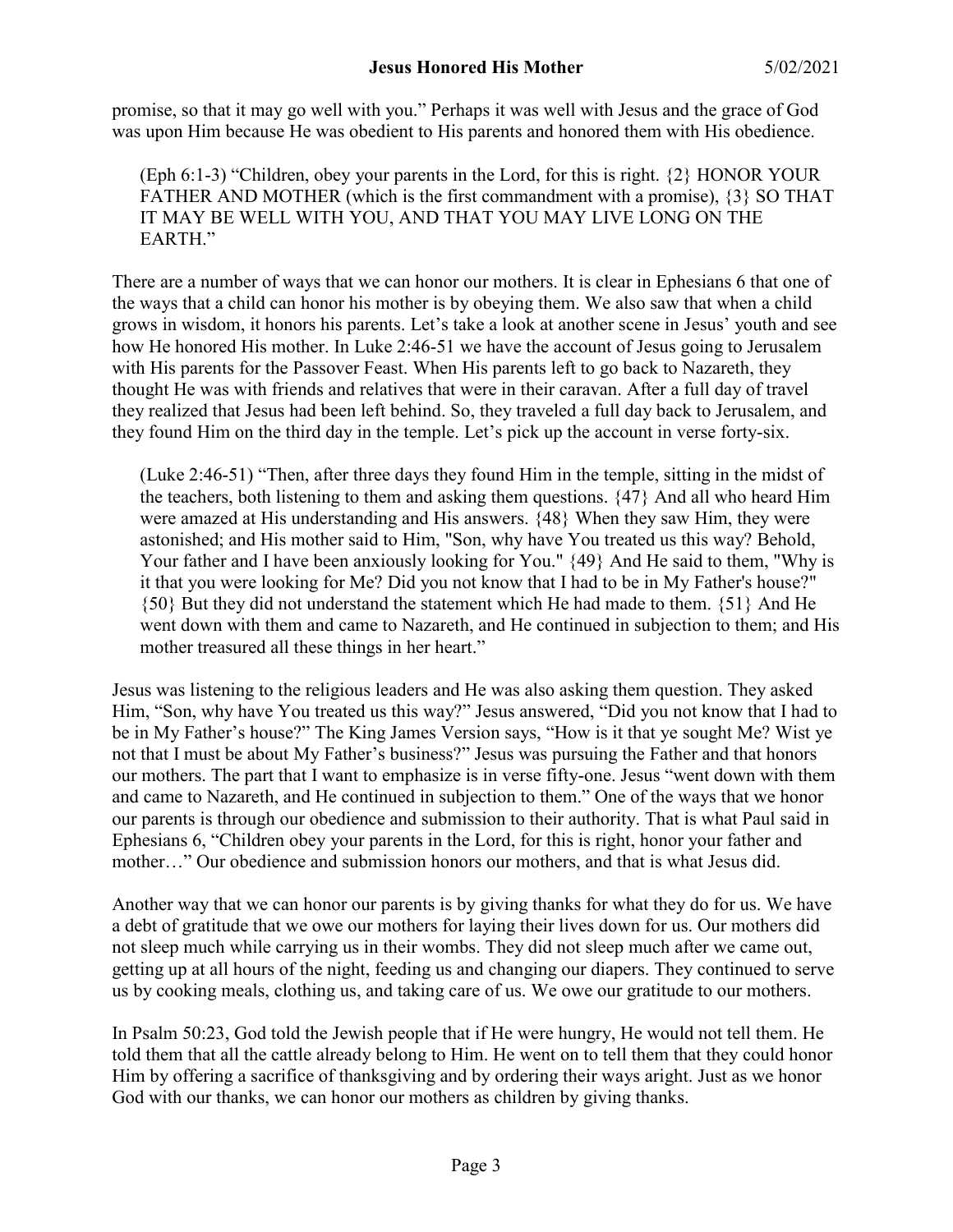promise, so that it may go well with you." Perhaps it was well with Jesus and the grace of God was upon Him because He was obedient to His parents and honored them with His obedience.

(Eph 6:1-3) "Children, obey your parents in the Lord, for this is right. {2} HONOR YOUR FATHER AND MOTHER (which is the first commandment with a promise), {3} SO THAT IT MAY BE WELL WITH YOU, AND THAT YOU MAY LIVE LONG ON THE EARTH."

There are a number of ways that we can honor our mothers. It is clear in Ephesians 6 that one of the ways that a child can honor his mother is by obeying them. We also saw that when a child grows in wisdom, it honors his parents. Let's take a look at another scene in Jesus' youth and see how He honored His mother. In Luke 2:46-51 we have the account of Jesus going to Jerusalem with His parents for the Passover Feast. When His parents left to go back to Nazareth, they thought He was with friends and relatives that were in their caravan. After a full day of travel they realized that Jesus had been left behind. So, they traveled a full day back to Jerusalem, and they found Him on the third day in the temple. Let's pick up the account in verse forty-six.

(Luke 2:46-51) "Then, after three days they found Him in the temple, sitting in the midst of the teachers, both listening to them and asking them questions. {47} And all who heard Him were amazed at His understanding and His answers. {48} When they saw Him, they were astonished; and His mother said to Him, "Son, why have You treated us this way? Behold, Your father and I have been anxiously looking for You."  $\{49\}$  And He said to them, "Why is it that you were looking for Me? Did you not know that I had to be in My Father's house?" {50} But they did not understand the statement which He had made to them. {51} And He went down with them and came to Nazareth, and He continued in subjection to them; and His mother treasured all these things in her heart."

Jesus was listening to the religious leaders and He was also asking them question. They asked Him, "Son, why have You treated us this way?" Jesus answered, "Did you not know that I had to be in My Father's house?" The King James Version says, "How is it that ye sought Me? Wist ye not that I must be about My Father's business?" Jesus was pursuing the Father and that honors our mothers. The part that I want to emphasize is in verse fifty-one. Jesus "went down with them and came to Nazareth, and He continued in subjection to them." One of the ways that we honor our parents is through our obedience and submission to their authority. That is what Paul said in Ephesians 6, "Children obey your parents in the Lord, for this is right, honor your father and mother…" Our obedience and submission honors our mothers, and that is what Jesus did.

Another way that we can honor our parents is by giving thanks for what they do for us. We have a debt of gratitude that we owe our mothers for laying their lives down for us. Our mothers did not sleep much while carrying us in their wombs. They did not sleep much after we came out, getting up at all hours of the night, feeding us and changing our diapers. They continued to serve us by cooking meals, clothing us, and taking care of us. We owe our gratitude to our mothers.

In Psalm 50:23, God told the Jewish people that if He were hungry, He would not tell them. He told them that all the cattle already belong to Him. He went on to tell them that they could honor Him by offering a sacrifice of thanksgiving and by ordering their ways aright. Just as we honor God with our thanks, we can honor our mothers as children by giving thanks.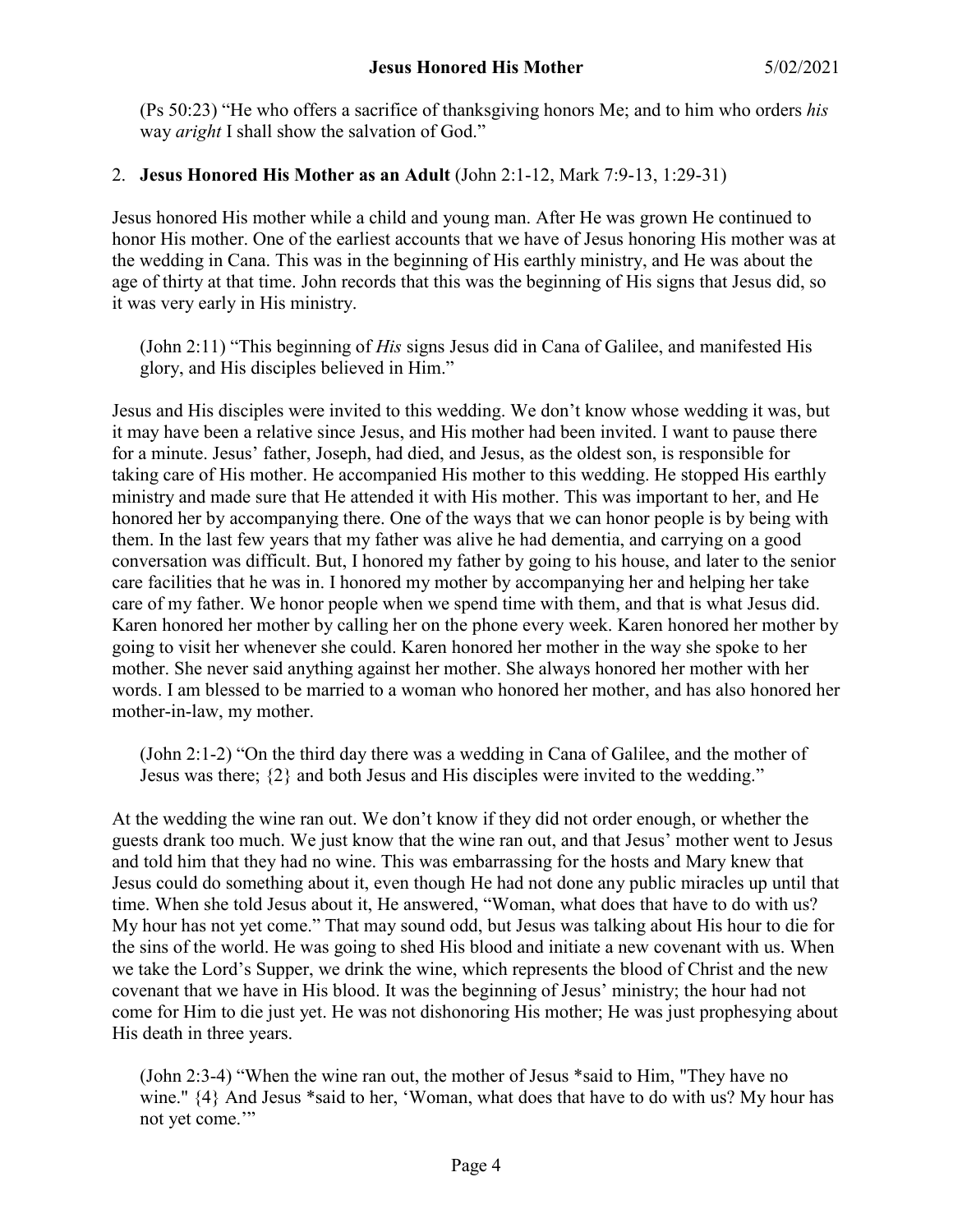(Ps 50:23) "He who offers a sacrifice of thanksgiving honors Me; and to him who orders *his* way *aright* I shall show the salvation of God."

## 2. **Jesus Honored His Mother as an Adult** (John 2:1-12, Mark 7:9-13, 1:29-31)

Jesus honored His mother while a child and young man. After He was grown He continued to honor His mother. One of the earliest accounts that we have of Jesus honoring His mother was at the wedding in Cana. This was in the beginning of His earthly ministry, and He was about the age of thirty at that time. John records that this was the beginning of His signs that Jesus did, so it was very early in His ministry.

(John 2:11) "This beginning of *His* signs Jesus did in Cana of Galilee, and manifested His glory, and His disciples believed in Him."

Jesus and His disciples were invited to this wedding. We don't know whose wedding it was, but it may have been a relative since Jesus, and His mother had been invited. I want to pause there for a minute. Jesus' father, Joseph, had died, and Jesus, as the oldest son, is responsible for taking care of His mother. He accompanied His mother to this wedding. He stopped His earthly ministry and made sure that He attended it with His mother. This was important to her, and He honored her by accompanying there. One of the ways that we can honor people is by being with them. In the last few years that my father was alive he had dementia, and carrying on a good conversation was difficult. But, I honored my father by going to his house, and later to the senior care facilities that he was in. I honored my mother by accompanying her and helping her take care of my father. We honor people when we spend time with them, and that is what Jesus did. Karen honored her mother by calling her on the phone every week. Karen honored her mother by going to visit her whenever she could. Karen honored her mother in the way she spoke to her mother. She never said anything against her mother. She always honored her mother with her words. I am blessed to be married to a woman who honored her mother, and has also honored her mother-in-law, my mother.

(John 2:1-2) "On the third day there was a wedding in Cana of Galilee, and the mother of Jesus was there; {2} and both Jesus and His disciples were invited to the wedding."

At the wedding the wine ran out. We don't know if they did not order enough, or whether the guests drank too much. We just know that the wine ran out, and that Jesus' mother went to Jesus and told him that they had no wine. This was embarrassing for the hosts and Mary knew that Jesus could do something about it, even though He had not done any public miracles up until that time. When she told Jesus about it, He answered, "Woman, what does that have to do with us? My hour has not yet come." That may sound odd, but Jesus was talking about His hour to die for the sins of the world. He was going to shed His blood and initiate a new covenant with us. When we take the Lord's Supper, we drink the wine, which represents the blood of Christ and the new covenant that we have in His blood. It was the beginning of Jesus' ministry; the hour had not come for Him to die just yet. He was not dishonoring His mother; He was just prophesying about His death in three years.

(John 2:3-4) "When the wine ran out, the mother of Jesus \*said to Him, "They have no wine." {4} And Jesus \*said to her, 'Woman, what does that have to do with us? My hour has not yet come."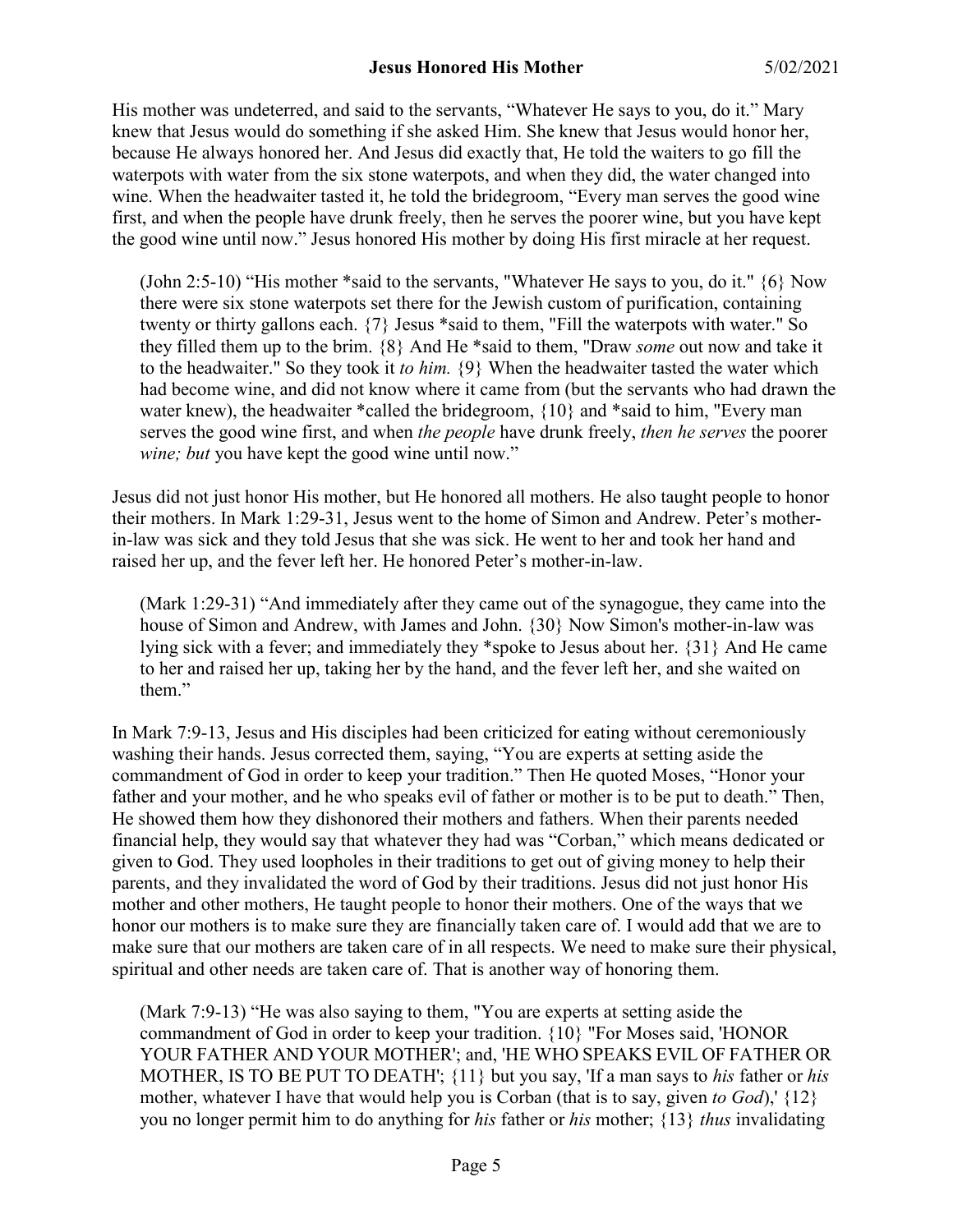His mother was undeterred, and said to the servants, "Whatever He says to you, do it." Mary knew that Jesus would do something if she asked Him. She knew that Jesus would honor her, because He always honored her. And Jesus did exactly that, He told the waiters to go fill the waterpots with water from the six stone waterpots, and when they did, the water changed into wine. When the headwaiter tasted it, he told the bridegroom, "Every man serves the good wine first, and when the people have drunk freely, then he serves the poorer wine, but you have kept the good wine until now." Jesus honored His mother by doing His first miracle at her request.

(John 2:5-10) "His mother \*said to the servants, "Whatever He says to you, do it." {6} Now there were six stone waterpots set there for the Jewish custom of purification, containing twenty or thirty gallons each. {7} Jesus \*said to them, "Fill the waterpots with water." So they filled them up to the brim. {8} And He \*said to them, "Draw *some* out now and take it to the headwaiter." So they took it *to him.* {9} When the headwaiter tasted the water which had become wine, and did not know where it came from (but the servants who had drawn the water knew), the headwaiter \*called the bridegroom, {10} and \*said to him, "Every man serves the good wine first, and when *the people* have drunk freely, *then he serves* the poorer *wine; but* you have kept the good wine until now."

Jesus did not just honor His mother, but He honored all mothers. He also taught people to honor their mothers. In Mark 1:29-31, Jesus went to the home of Simon and Andrew. Peter's motherin-law was sick and they told Jesus that she was sick. He went to her and took her hand and raised her up, and the fever left her. He honored Peter's mother-in-law.

(Mark 1:29-31) "And immediately after they came out of the synagogue, they came into the house of Simon and Andrew, with James and John. {30} Now Simon's mother-in-law was lying sick with a fever; and immediately they \*spoke to Jesus about her. {31} And He came to her and raised her up, taking her by the hand, and the fever left her, and she waited on them."

In Mark 7:9-13, Jesus and His disciples had been criticized for eating without ceremoniously washing their hands. Jesus corrected them, saying, "You are experts at setting aside the commandment of God in order to keep your tradition." Then He quoted Moses, "Honor your father and your mother, and he who speaks evil of father or mother is to be put to death." Then, He showed them how they dishonored their mothers and fathers. When their parents needed financial help, they would say that whatever they had was "Corban," which means dedicated or given to God. They used loopholes in their traditions to get out of giving money to help their parents, and they invalidated the word of God by their traditions. Jesus did not just honor His mother and other mothers, He taught people to honor their mothers. One of the ways that we honor our mothers is to make sure they are financially taken care of. I would add that we are to make sure that our mothers are taken care of in all respects. We need to make sure their physical, spiritual and other needs are taken care of. That is another way of honoring them.

(Mark 7:9-13) "He was also saying to them, "You are experts at setting aside the commandment of God in order to keep your tradition. {10} "For Moses said, 'HONOR YOUR FATHER AND YOUR MOTHER'; and, 'HE WHO SPEAKS EVIL OF FATHER OR MOTHER, IS TO BE PUT TO DEATH'; {11} but you say, 'If a man says to *his* father or *his* mother, whatever I have that would help you is Corban (that is to say, given *to God*),'  $\{12\}$ you no longer permit him to do anything for *his* father or *his* mother; {13} *thus* invalidating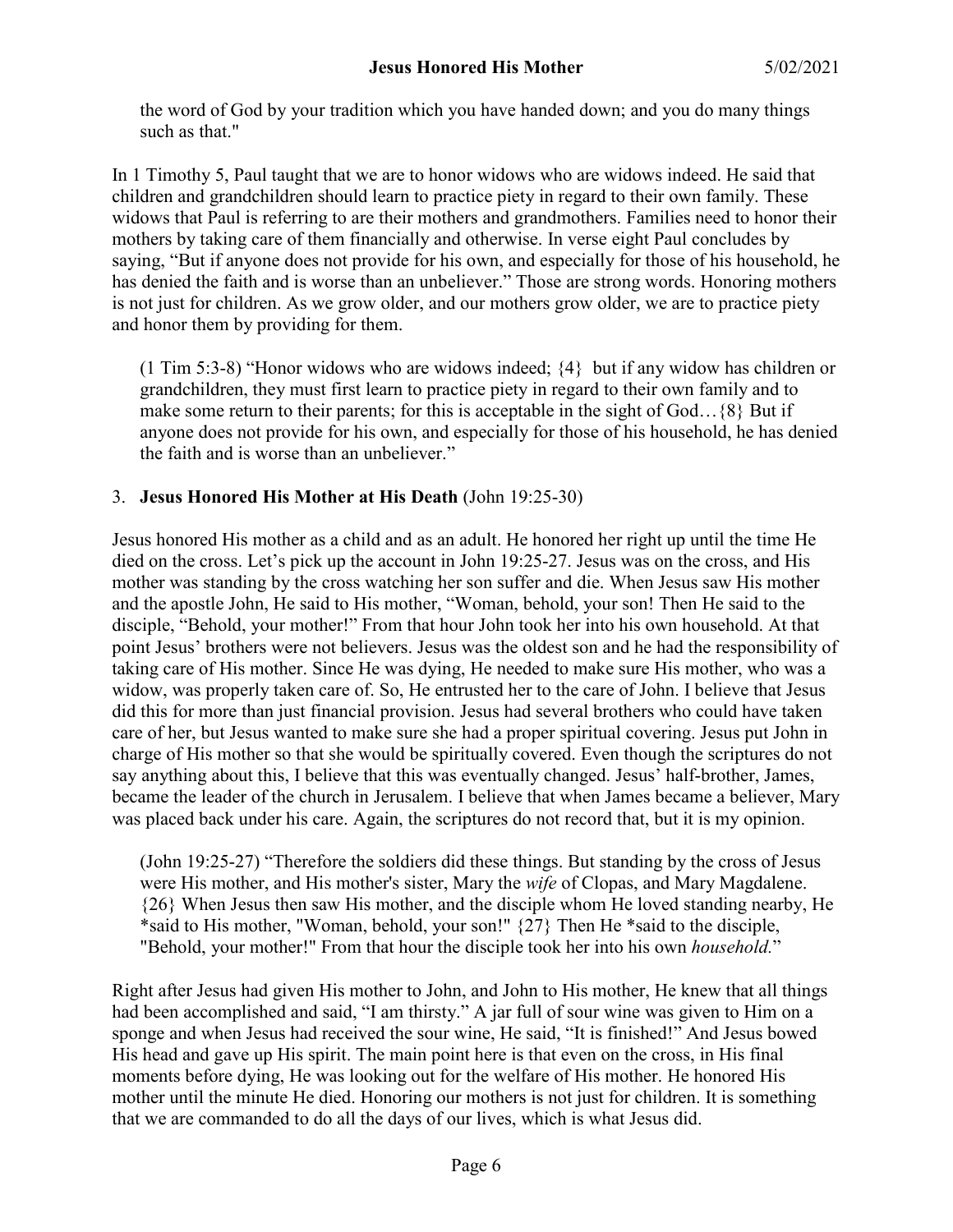the word of God by your tradition which you have handed down; and you do many things such as that."

In 1 Timothy 5, Paul taught that we are to honor widows who are widows indeed. He said that children and grandchildren should learn to practice piety in regard to their own family. These widows that Paul is referring to are their mothers and grandmothers. Families need to honor their mothers by taking care of them financially and otherwise. In verse eight Paul concludes by saying, "But if anyone does not provide for his own, and especially for those of his household, he has denied the faith and is worse than an unbeliever." Those are strong words. Honoring mothers is not just for children. As we grow older, and our mothers grow older, we are to practice piety and honor them by providing for them.

(1 Tim 5:3-8) "Honor widows who are widows indeed;  $\{4\}$  but if any widow has children or grandchildren, they must first learn to practice piety in regard to their own family and to make some return to their parents; for this is acceptable in the sight of God...  $\{8\}$  But if anyone does not provide for his own, and especially for those of his household, he has denied the faith and is worse than an unbeliever."

### 3. **Jesus Honored His Mother at His Death** (John 19:25-30)

Jesus honored His mother as a child and as an adult. He honored her right up until the time He died on the cross. Let's pick up the account in John 19:25-27. Jesus was on the cross, and His mother was standing by the cross watching her son suffer and die. When Jesus saw His mother and the apostle John, He said to His mother, "Woman, behold, your son! Then He said to the disciple, "Behold, your mother!" From that hour John took her into his own household. At that point Jesus' brothers were not believers. Jesus was the oldest son and he had the responsibility of taking care of His mother. Since He was dying, He needed to make sure His mother, who was a widow, was properly taken care of. So, He entrusted her to the care of John. I believe that Jesus did this for more than just financial provision. Jesus had several brothers who could have taken care of her, but Jesus wanted to make sure she had a proper spiritual covering. Jesus put John in charge of His mother so that she would be spiritually covered. Even though the scriptures do not say anything about this, I believe that this was eventually changed. Jesus' half-brother, James, became the leader of the church in Jerusalem. I believe that when James became a believer, Mary was placed back under his care. Again, the scriptures do not record that, but it is my opinion.

(John 19:25-27) "Therefore the soldiers did these things. But standing by the cross of Jesus were His mother, and His mother's sister, Mary the *wife* of Clopas, and Mary Magdalene. {26} When Jesus then saw His mother, and the disciple whom He loved standing nearby, He \*said to His mother, "Woman, behold, your son!" {27} Then He \*said to the disciple, "Behold, your mother!" From that hour the disciple took her into his own *household.*"

Right after Jesus had given His mother to John, and John to His mother, He knew that all things had been accomplished and said, "I am thirsty." A jar full of sour wine was given to Him on a sponge and when Jesus had received the sour wine, He said, "It is finished!" And Jesus bowed His head and gave up His spirit. The main point here is that even on the cross, in His final moments before dying, He was looking out for the welfare of His mother. He honored His mother until the minute He died. Honoring our mothers is not just for children. It is something that we are commanded to do all the days of our lives, which is what Jesus did.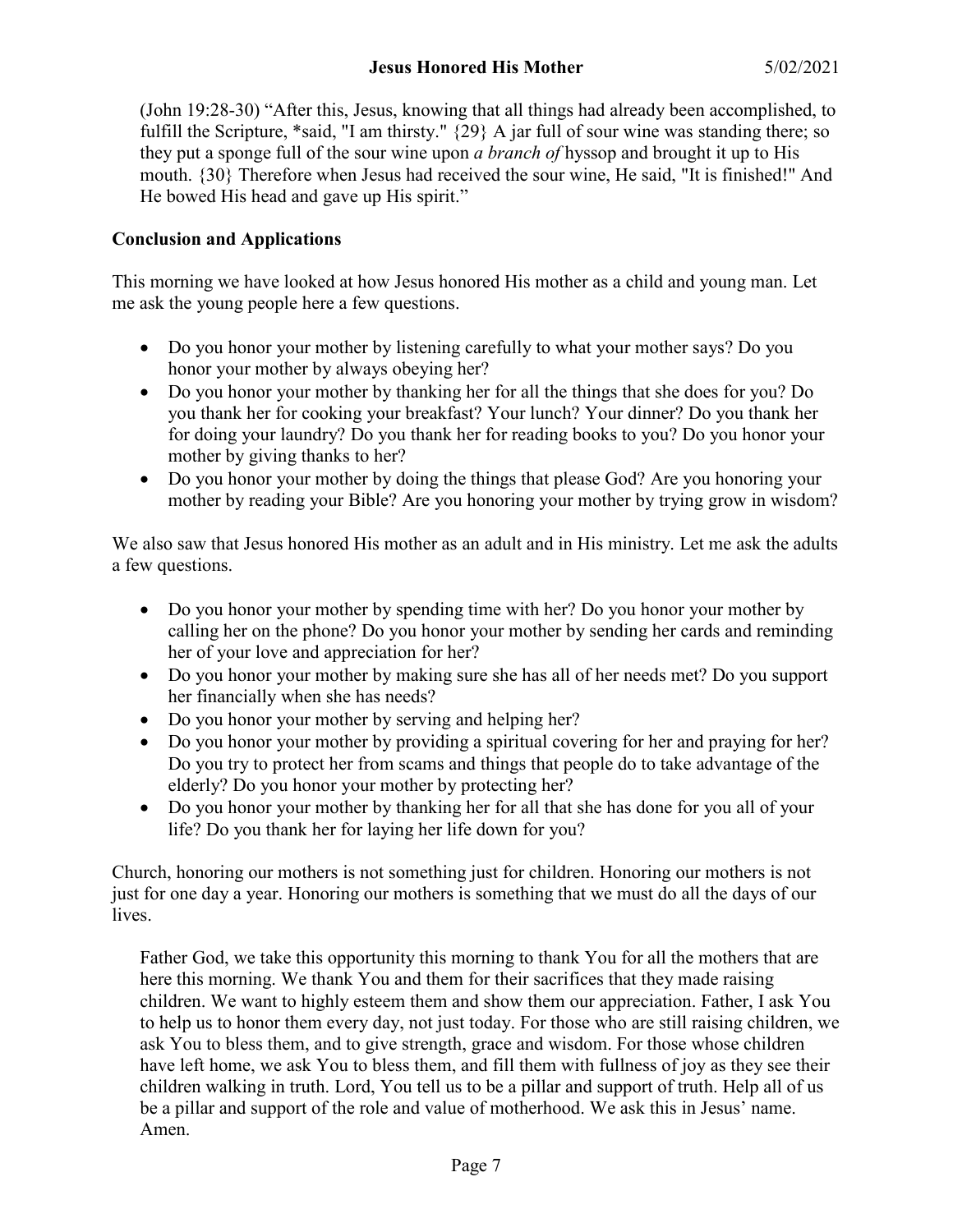(John 19:28-30) "After this, Jesus, knowing that all things had already been accomplished, to fulfill the Scripture, \*said, "I am thirsty." {29} A jar full of sour wine was standing there; so they put a sponge full of the sour wine upon *a branch of* hyssop and brought it up to His mouth. {30} Therefore when Jesus had received the sour wine, He said, "It is finished!" And He bowed His head and gave up His spirit."

## **Conclusion and Applications**

This morning we have looked at how Jesus honored His mother as a child and young man. Let me ask the young people here a few questions.

- Do you honor your mother by listening carefully to what your mother says? Do you honor your mother by always obeying her?
- Do you honor your mother by thanking her for all the things that she does for you? Do you thank her for cooking your breakfast? Your lunch? Your dinner? Do you thank her for doing your laundry? Do you thank her for reading books to you? Do you honor your mother by giving thanks to her?
- Do you honor your mother by doing the things that please God? Are you honoring your mother by reading your Bible? Are you honoring your mother by trying grow in wisdom?

We also saw that Jesus honored His mother as an adult and in His ministry. Let me ask the adults a few questions.

- Do you honor your mother by spending time with her? Do you honor your mother by calling her on the phone? Do you honor your mother by sending her cards and reminding her of your love and appreciation for her?
- Do you honor your mother by making sure she has all of her needs met? Do you support her financially when she has needs?
- Do you honor your mother by serving and helping her?
- Do you honor your mother by providing a spiritual covering for her and praying for her? Do you try to protect her from scams and things that people do to take advantage of the elderly? Do you honor your mother by protecting her?
- Do you honor your mother by thanking her for all that she has done for you all of your life? Do you thank her for laying her life down for you?

Church, honoring our mothers is not something just for children. Honoring our mothers is not just for one day a year. Honoring our mothers is something that we must do all the days of our lives.

Father God, we take this opportunity this morning to thank You for all the mothers that are here this morning. We thank You and them for their sacrifices that they made raising children. We want to highly esteem them and show them our appreciation. Father, I ask You to help us to honor them every day, not just today. For those who are still raising children, we ask You to bless them, and to give strength, grace and wisdom. For those whose children have left home, we ask You to bless them, and fill them with fullness of joy as they see their children walking in truth. Lord, You tell us to be a pillar and support of truth. Help all of us be a pillar and support of the role and value of motherhood. We ask this in Jesus' name. Amen.